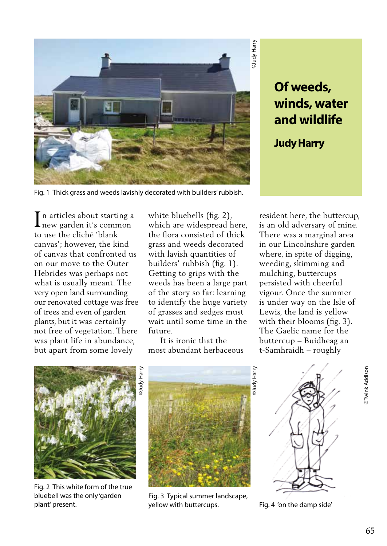

Fig. 1 Thick grass and weeds lavishly decorated with builders' rubbish.

n articles about starting a I new garden it's common to use the cliché 'blank canvas'; however, the kind of canvas that confronted us on our move to the Outer Hebrides was perhaps not what is usually meant. The very open land surrounding our renovated cottage was free of trees and even of garden plants, but it was certainly not free of vegetation. There was plant life in abundance, but apart from some lovely

white bluebells (fig. 2), which are widespread here, the flora consisted of thick grass and weeds decorated with lavish quantities of builders' rubbish (fig. 1). Getting to grips with the weeds has been a large part of the story so far: learning to identify the huge variety of grasses and sedges must wait until some time in the future.

 It is ironic that the most abundant herbaceous **winds, water and wildlife**

**Judy Harry**

**Of weeds,**<br>
winds, water<br>
and wildlife<br>
Judy Harry<br>
lent here, the buttercup,<br>
lent here, the buttercup,<br>
re was a marginal area<br>
re, in spite of digging,<br>
ding, skimming and<br>
ching, buttercups<br>
isted with cheerful<br>
ur. O resident here, the buttercup, is an old adversary of mine. There was a marginal area in our Lincolnshire garden where, in spite of digging, weeding, skimming and mulching, buttercups persisted with cheerful vigour. Once the summer is under way on the Isle of Lewis, the land is yellow with their blooms (fig. 3). The Gaelic name for the buttercup – Buidheag an t-Samhraidh – roughly



Fig. 2 This white form of the true bluebell was the only 'garden plant' present.



Fig. 3 Typical summer landscape, yellow with buttercups.



Fig. 4 'on the damp side'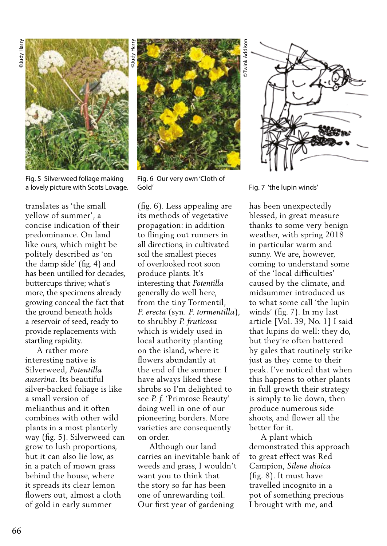

Fig. 5 Silverweed foliage making a lovely picture with Scots Lovage.

translates as 'the small yellow of summer', a concise indication of their predominance. On land like ours, which might be politely described as 'on the damp side' (fig. 4) and has been untilled for decades, buttercups thrive; what's more, the specimens already growing conceal the fact that the ground beneath holds a reservoir of seed, ready to provide replacements with startling rapidity.

 A rather more interesting native is Silverweed, *Potentilla anserina*. Its beautiful silver-backed foliage is like a small version of melianthus and it often combines with other wild plants in a most planterly way (fig. 5). Silverweed can grow to lush proportions, but it can also lie low, as in a patch of mown grass behind the house, where it spreads its clear lemon flowers out, almost a cloth of gold in early summer



Fig. 6 Our very own 'Cloth of Gold' Fig. 7 'the lupin winds'

(fig. 6). Less appealing are its methods of vegetative propagation: in addition to flinging out runners in all directions, in cultivated soil the smallest pieces of overlooked root soon produce plants. It's interesting that *Potentilla*  generally do well here, from the tiny Tormentil, *P. erecta* (syn. *P. tormentilla*), to shrubby *P. fruticosa* which is widely used in local authority planting on the island, where it flowers abundantly at the end of the summer. I have always liked these shrubs so I'm delighted to see *P. f.* 'Primrose Beauty' doing well in one of our pioneering borders. More varieties are consequently on order.

 Although our land carries an inevitable bank of weeds and grass, I wouldn't want you to think that the story so far has been one of unrewarding toil. Our first year of gardening



has been unexpectedly blessed, in great measure thanks to some very benign weather, with spring 2018 in particular warm and sunny. We are, however, coming to understand some of the 'local difficulties' caused by the climate, and midsummer introduced us to what some call 'the lupin winds' (fig. 7). In my last article [Vol. 39, No. 1] I said that lupins do well: they do, but they're often battered by gales that routinely strike just as they come to their peak. I've noticed that when this happens to other plants in full growth their strategy is simply to lie down, then produce numerous side shoots, and flower all the better for it.

 A plant which demonstrated this approach to great effect was Red Campion, *Silene dioica*  (fig. 8). It must have travelled incognito in a pot of something precious I brought with me, and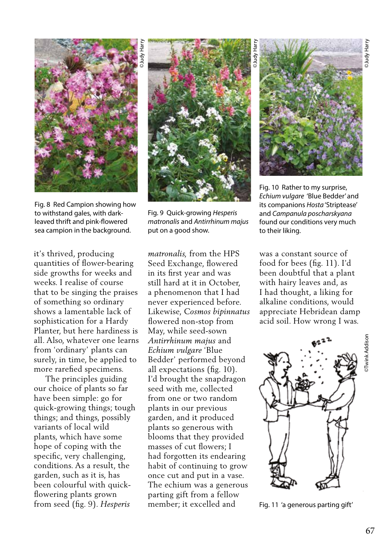

Fig. 8 Red Campion showing how to withstand gales, with darkleaved thrift and pink-flowered sea campion in the background.



 The principles guiding our choice of plants so far have been simple: go for quick-growing things; tough things; and things, possibly variants of local wild plants, which have some hope of coping with the specific, very challenging, conditions. As a result, the garden, such as it is, has been colourful with quickflowering plants grown from seed (fig. 9). *Hesperis* 



Fig. 9 Quick-growing *Hesperis matronalis* and *Antirrhinum majus* put on a good show.

*matronalis,* from the HPS Seed Exchange, flowered in its first year and was still hard at it in October, a phenomenon that I had never experienced before. Likewise, *Cosmos bipinnatus* flowered non-stop from May, while seed-sown *Antirrhinum majus* and *Echium vulgare* 'Blue Bedder' performed beyond all expectations (fig. 10). I'd brought the snapdragon seed with me, collected from one or two random plants in our previous garden, and it produced plants so generous with blooms that they provided masses of cut flowers; I had forgotten its endearing habit of continuing to grow once cut and put in a vase. The echium was a generous parting gift from a fellow member; it excelled and

©Judy Harry

Fig. 10 Rather to my surprise, *Echium vulgare* 'Blue Bedder' and its companions *Hosta* 'Striptease' and *Campanula poscharskyana* found our conditions very much to their liking.

was a constant source of food for bees (fig. 11). I'd been doubtful that a plant with hairy leaves and, as I had thought, a liking for alkaline conditions, would appreciate Hebridean damp acid soil. How wrong I was.



Fig. 11 'a generous parting gift'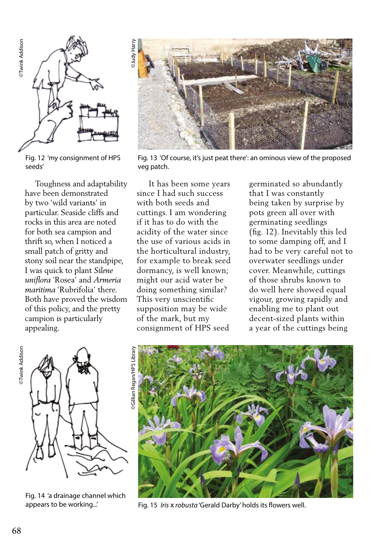

Fig. 12 'my consignment of HPS seeds'

 Toughness and adaptability have been demonstrated by two 'wild variants' in particular. Seaside cliffs and rocks in this area are noted for both sea campion and thrift so, when I noticed a small patch of gritty and stony soil near the standpipe, I was quick to plant *Silene uniflora* 'Rosea' and *Armeria maritima* 'Rubrifolia' there. Both have proved the wisdom of this policy, and the pretty campion is particularly appealing.



Fig. 13 'Of course, it's just peat there': an ominous view of the proposed veg patch.

 It has been some years since I had such success with both seeds and cuttings. I am wondering if it has to do with the acidity of the water since the use of various acids in the horticultural industry, for example to break seed dormancy, is well known; might our acid water be doing something similar? This very unscientific supposition may be wide of the mark, but my consignment of HPS seed

germinated so abundantly that I was constantly being taken by surprise by pots green all over with germinating seedlings (fig. 12). Inevitably this led to some damping off, and I had to be very careful not to overwater seedlings under cover. Meanwhile, cuttings of those shrubs known to do well here showed equal vigour, growing rapidly and enabling me to plant out decent-sized plants within a year of the cuttings being





Fig. 14 'a drainage channel which



appears to be working...' Fig. 15 *Iris* x *robusta* 'Gerald Darby' holds its flowers well.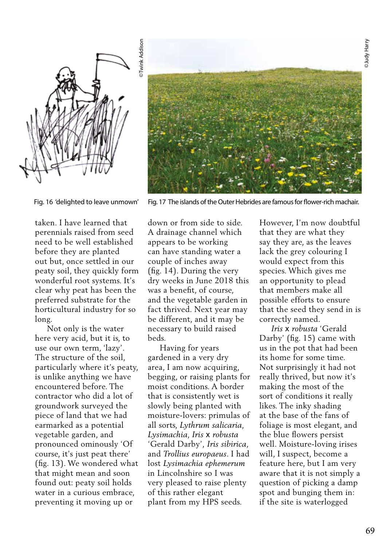

taken. I have learned that perennials raised from seed need to be well established before they are planted out but, once settled in our peaty soil, they quickly form wonderful root systems. It's clear why peat has been the preferred substrate for the horticultural industry for so long.

 Not only is the water here very acid, but it is, to use our own term, 'lazy'. The structure of the soil, particularly where it's peaty, is unlike anything we have encountered before. The contractor who did a lot of groundwork surveyed the piece of land that we had earmarked as a potential vegetable garden, and pronounced ominously 'Of course, it's just peat there' (fig. 13). We wondered what that might mean and soon found out: peaty soil holds water in a curious embrace, preventing it moving up or

down or from side to side. A drainage channel which appears to be working can have standing water a couple of inches away (fig. 14). During the very dry weeks in June 2018 this was a benefit, of course, and the vegetable garden in fact thrived. Next year may be different, and it may be necessary to build raised beds.

 Having for years gardened in a very dry area, I am now acquiring, begging, or raising plants for moist conditions. A border that is consistently wet is slowly being planted with moisture-lovers: primulas of all sorts, *Lythrum salicaria, Lysimachia, Iris* x *robusta*  'Gerald Darby', *Iris sibirica*, and *Trollius europaeus*. I had lost *Lysimachia ephemerum* in Lincolnshire so I was very pleased to raise plenty of this rather elegant plant from my HPS seeds.

possible efforts to ensure that the seed they send in is correctly named.

 *Iris* x *robusta* 'Gerald Darby' (fig. 15) came with us in the pot that had been its home for some time. Not surprisingly it had not really thrived, but now it's making the most of the sort of conditions it really likes. The inky shading at the base of the fans of foliage is most elegant, and the blue flowers persist well. Moisture-loving irises will, I suspect, become a feature here, but I am very aware that it is not simply a question of picking a damp spot and bunging them in: if the site is waterlogged

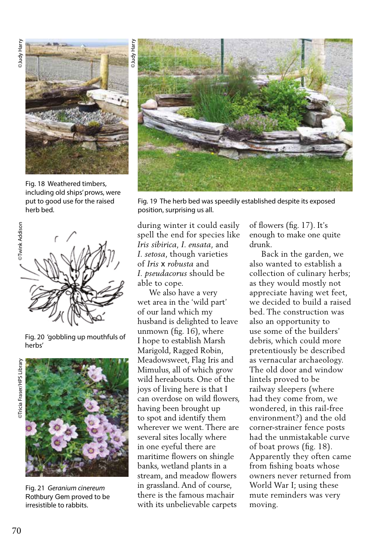

Fig. 18 Weathered timbers, including old ships' prows, were put to good use for the raised herb bed.



Fig. 20 'gobbling up mouthfuls of herbs'



Fig. 21 *Geranium cinereum* Rothbury Gem proved to be irresistible to rabbits.



Fig. 19 The herb bed was speedily established despite its exposed position, surprising us all.

during winter it could easily spell the end for species like *Iris sibirica, I. ensata*, and *I. setosa*, though varieties of *Iris* x *robusta* and *I. pseudacorus* should be able to cope.

 We also have a very wet area in the 'wild part' of our land which my husband is delighted to leave unmown (fig. 16), where I hope to establish Marsh Marigold, Ragged Robin, Meadowsweet, Flag Iris and Mimulus, all of which grow wild hereabouts. One of the joys of living here is that I can overdose on wild flowers, having been brought up to spot and identify them wherever we went. There are several sites locally where in one eyeful there are maritime flowers on shingle banks, wetland plants in a stream, and meadow flowers in grassland. And of course, there is the famous machair with its unbelievable carpets

of flowers (fig. 17). It's enough to make one quite drunk.

 Back in the garden, we also wanted to establish a collection of culinary herbs; as they would mostly not appreciate having wet feet, we decided to build a raised bed. The construction was also an opportunity to use some of the builders' debris, which could more pretentiously be described as vernacular archaeology. The old door and window lintels proved to be railway sleepers (where had they come from, we wondered, in this rail-free environment?) and the old corner-strainer fence posts had the unmistakable curve of boat prows (fig. 18). Apparently they often came from fishing boats whose owners never returned from World War I; using these mute reminders was very moving.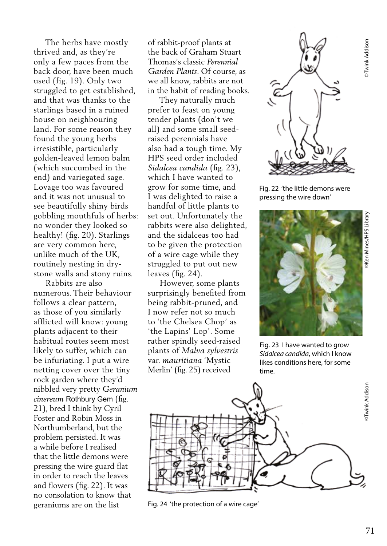The herbs have mostly thrived and, as they're only a few paces from the back door, have been much used (fig. 19). Only two struggled to get established, and that was thanks to the starlings based in a ruined house on neighbouring land. For some reason they found the young herbs irresistible, particularly golden-leaved lemon balm (which succumbed in the end) and variegated sage. Lovage too was favoured and it was not unusual to see beautifully shiny birds gobbling mouthfuls of herbs: no wonder they looked so healthy! (fig. 20). Starlings are very common here, unlike much of the UK, routinely nesting in drystone walls and stony ruins.

 Rabbits are also numerous. Their behaviour follows a clear pattern, as those of you similarly afflicted will know: young plants adjacent to their habitual routes seem most likely to suffer, which can be infuriating. I put a wire netting cover over the tiny rock garden where they'd nibbled very pretty *Geranium cinereum* Rothbury Gem (fig. 21), bred I think by Cyril Foster and Robin Moss in Northumberland, but the problem persisted. It was a while before I realised that the little demons were pressing the wire guard flat in order to reach the leaves and flowers (fig. 22). It was no consolation to know that geraniums are on the list

of rabbit-proof plants at the back of Graham Stuart Thomas's classic *Perennial Garden Plants*. Of course, as we all know, rabbits are not in the habit of reading books.

 They naturally much prefer to feast on young tender plants (don't we all) and some small seedraised perennials have also had a tough time. My HPS seed order included *Sidalcea candida* (fig. 23), which I have wanted to grow for some time, and I was delighted to raise a handful of little plants to set out. Unfortunately the rabbits were also delighted, and the sidalceas too had to be given the protection of a wire cage while they struggled to put out new leaves (fig. 24).

 However, some plants surprisingly benefited from being rabbit-pruned, and I now refer not so much to 'the Chelsea Chop' as 'the Lapins' Lop'. Some rather spindly seed-raised plants of *Malva sylvestris*  var. *mauritiana* 'Mystic Merlin' (fig. 25) received



**DTwink Addison** 

Fig. 22 'the little demons were pressing the wire down'



Fig. 23 I have wanted to grow *Sidalcea candida*, which I know likes conditions here, for some time.



Fig. 24 'the protection of a wire cage'